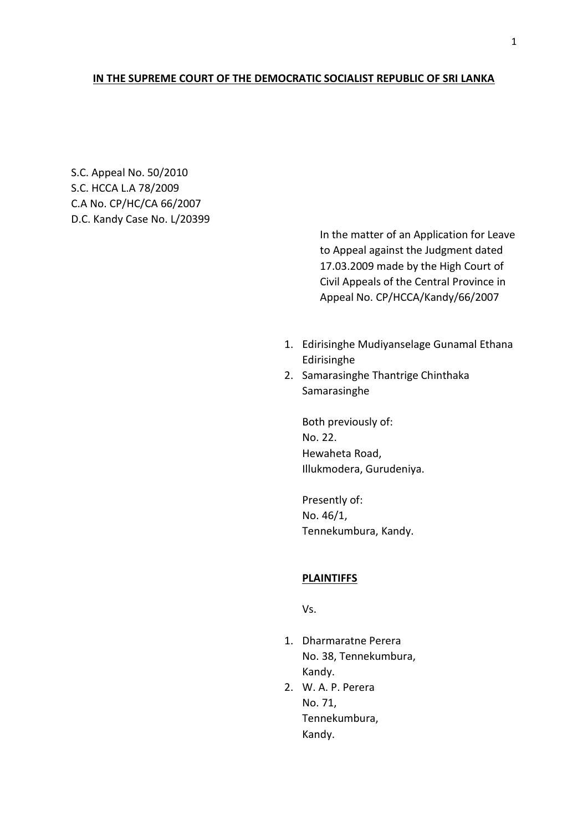## **IN THE SUPREME COURT OF THE DEMOCRATIC SOCIALIST REPUBLIC OF SRI LANKA**

S.C. Appeal No. 50/2010 S.C. HCCA L.A 78/2009 C.A No. CP/HC/CA 66/2007 D.C. Kandy Case No. L/20399

> In the matter of an Application for Leave to Appeal against the Judgment dated 17.03.2009 made by the High Court of Civil Appeals of the Central Province in Appeal No. CP/HCCA/Kandy/66/2007

- 1. Edirisinghe Mudiyanselage Gunamal Ethana Edirisinghe
- 2. Samarasinghe Thantrige Chinthaka Samarasinghe

Both previously of: No. 22. Hewaheta Road, Illukmodera, Gurudeniya.

Presently of: No. 46/1, Tennekumbura, Kandy.

# **PLAINTIFFS**

Vs.

- 1. Dharmaratne Perera No. 38, Tennekumbura, Kandy.
- 2. W. A. P. Perera No. 71, Tennekumbura, Kandy.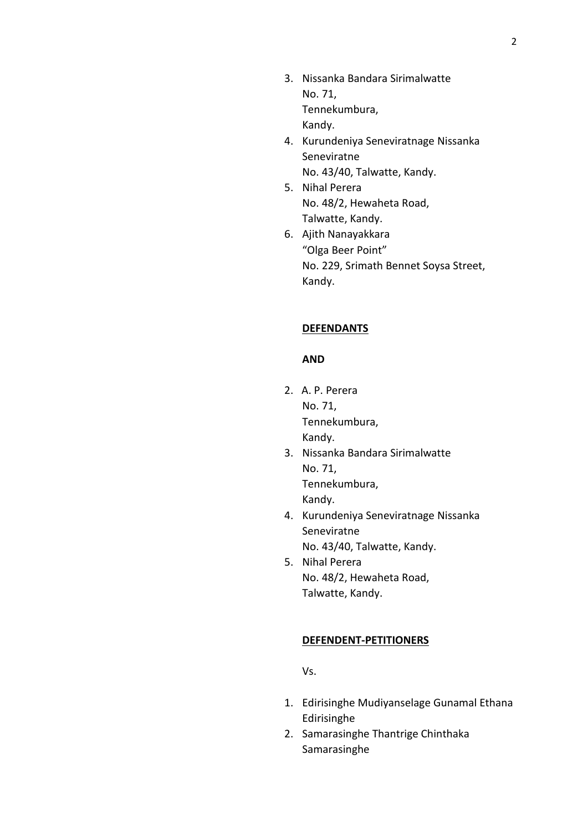- 3. Nissanka Bandara Sirimalwatte No. 71, Tennekumbura, Kandy.
- 4. Kurundeniya Seneviratnage Nissanka Seneviratne No. 43/40, Talwatte, Kandy.
- 5. Nihal Perera No. 48/2, Hewaheta Road, Talwatte, Kandy.
- 6. Ajith Nanayakkara "Olga Beer Point" No. 229, Srimath Bennet Soysa Street, Kandy.

# **DEFENDANTS**

## **AND**

- 2. A. P. Perera No. 71, Tennekumbura, Kandy.
- 3. Nissanka Bandara Sirimalwatte No. 71, Tennekumbura, Kandy.
- 4. Kurundeniya Seneviratnage Nissanka Seneviratne No. 43/40, Talwatte, Kandy.
- 5. Nihal Perera No. 48/2, Hewaheta Road, Talwatte, Kandy.

### **DEFENDENT-PETITIONERS**

Vs.

- 1. Edirisinghe Mudiyanselage Gunamal Ethana Edirisinghe
- 2. Samarasinghe Thantrige Chinthaka Samarasinghe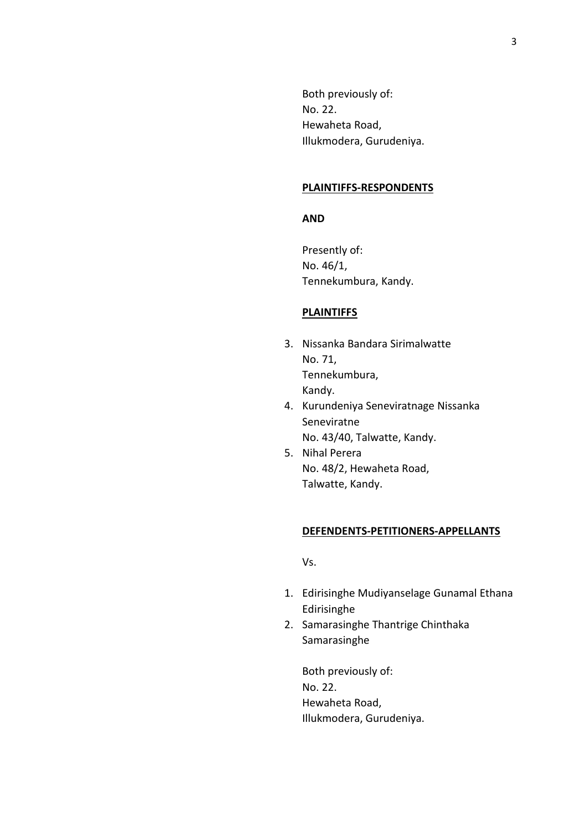Both previously of: No. 22. Hewaheta Road, Illukmodera, Gurudeniya.

#### **PLAINTIFFS-RESPONDENTS**

### **AND**

Presently of: No. 46/1, Tennekumbura, Kandy.

# **PLAINTIFFS**

- 3. Nissanka Bandara Sirimalwatte No. 71, Tennekumbura, Kandy.
- 4. Kurundeniya Seneviratnage Nissanka Seneviratne No. 43/40, Talwatte, Kandy.
- 5. Nihal Perera No. 48/2, Hewaheta Road, Talwatte, Kandy.

#### **DEFENDENTS-PETITIONERS-APPELLANTS**

Vs.

- 1. Edirisinghe Mudiyanselage Gunamal Ethana Edirisinghe
- 2. Samarasinghe Thantrige Chinthaka Samarasinghe

Both previously of: No. 22. Hewaheta Road, Illukmodera, Gurudeniya.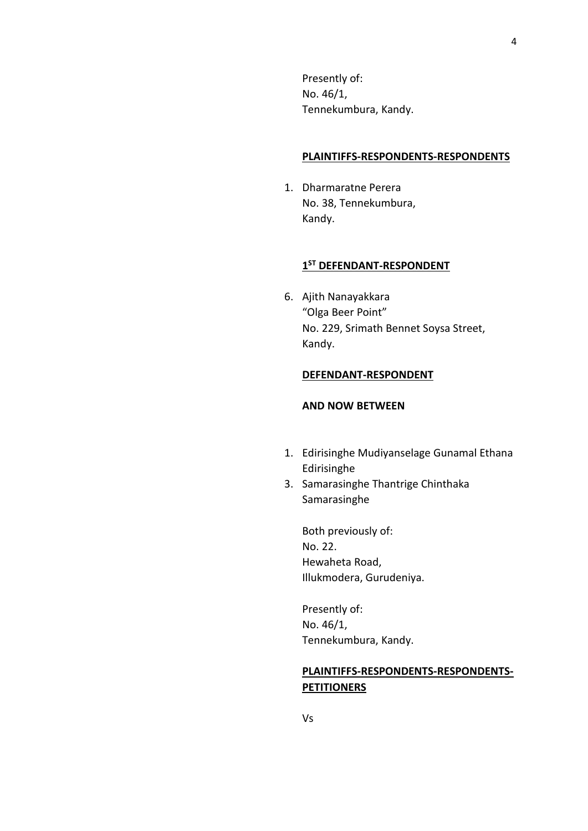Presently of: No. 46/1, Tennekumbura, Kandy.

#### **PLAINTIFFS-RESPONDENTS-RESPONDENTS**

1. Dharmaratne Perera No. 38, Tennekumbura, Kandy.

# **1 ST DEFENDANT-RESPONDENT**

6. Ajith Nanayakkara "Olga Beer Point" No. 229, Srimath Bennet Soysa Street, Kandy.

# **DEFENDANT-RESPONDENT**

# **AND NOW BETWEEN**

- 1. Edirisinghe Mudiyanselage Gunamal Ethana Edirisinghe
- 3. Samarasinghe Thantrige Chinthaka Samarasinghe

Both previously of: No. 22. Hewaheta Road, Illukmodera, Gurudeniya.

Presently of: No. 46/1, Tennekumbura, Kandy.

# **PLAINTIFFS-RESPONDENTS-RESPONDENTS-PETITIONERS**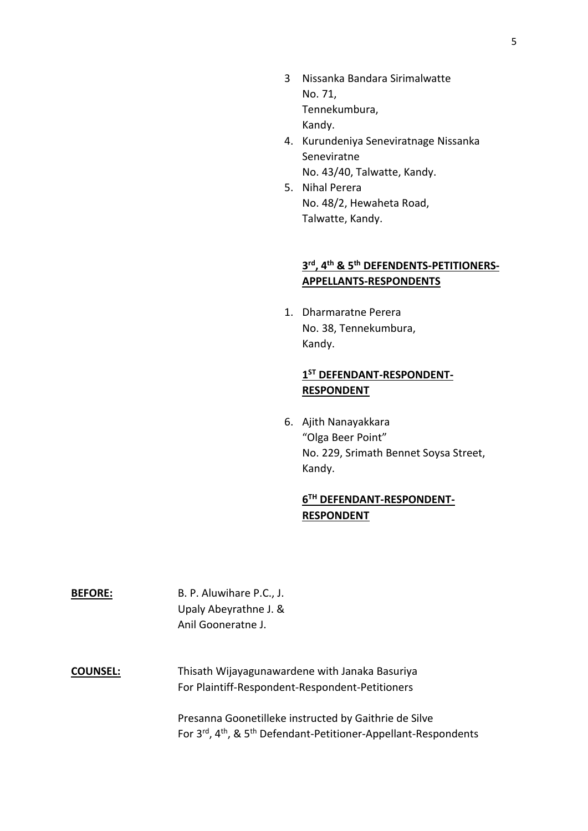- 3 Nissanka Bandara Sirimalwatte No. 71, Tennekumbura, Kandy.
- 4. Kurundeniya Seneviratnage Nissanka Seneviratne No. 43/40, Talwatte, Kandy.
- 5. Nihal Perera No. 48/2, Hewaheta Road, Talwatte, Kandy.

# **3 rd , 4 th & 5th DEFENDENTS-PETITIONERS-APPELLANTS-RESPONDENTS**

1. Dharmaratne Perera No. 38, Tennekumbura, Kandy.

# **1 ST DEFENDANT-RESPONDENT-RESPONDENT**

6. Ajith Nanayakkara "Olga Beer Point" No. 229, Srimath Bennet Soysa Street, Kandy.

# **6 TH DEFENDANT-RESPONDENT-RESPONDENT**

**BEFORE:** B. P. Aluwihare P.C., J. Upaly Abeyrathne J. & Anil Gooneratne J.

**COUNSEL:** Thisath Wijayagunawardene with Janaka Basuriya For Plaintiff-Respondent-Respondent-Petitioners

> Presanna Goonetilleke instructed by Gaithrie de Silve For 3rd, 4th, & 5th Defendant-Petitioner-Appellant-Respondents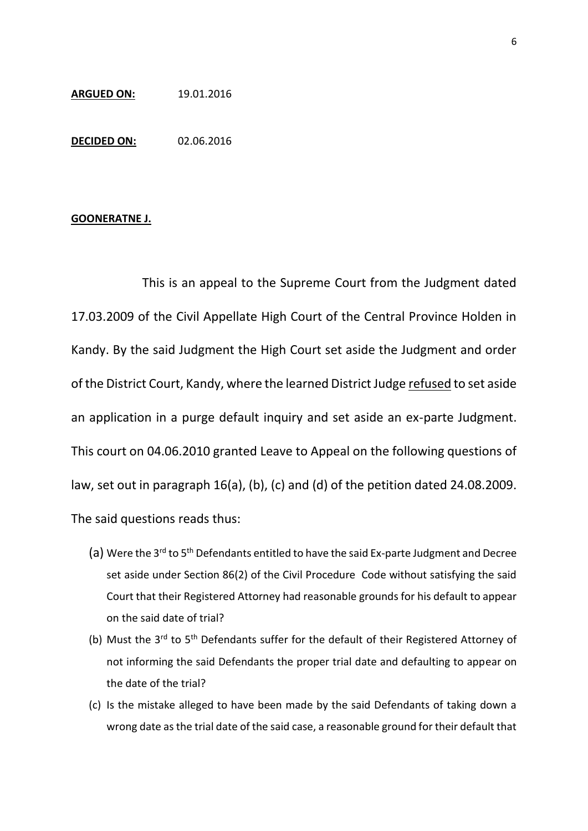## **ARGUED ON:** 19.01.2016

**DECIDED ON:** 02.06.2016

### **GOONERATNE J.**

This is an appeal to the Supreme Court from the Judgment dated 17.03.2009 of the Civil Appellate High Court of the Central Province Holden in Kandy. By the said Judgment the High Court set aside the Judgment and order of the District Court, Kandy, where the learned District Judge refused to set aside an application in a purge default inquiry and set aside an ex-parte Judgment. This court on 04.06.2010 granted Leave to Appeal on the following questions of law, set out in paragraph 16(a), (b), (c) and (d) of the petition dated 24.08.2009. The said questions reads thus:

- (a) Were the 3<sup>rd</sup> to 5<sup>th</sup> Defendants entitled to have the said Ex-parte Judgment and Decree set aside under Section 86(2) of the Civil Procedure Code without satisfying the said Court that their Registered Attorney had reasonable grounds for his default to appear on the said date of trial?
- (b) Must the 3<sup>rd</sup> to 5<sup>th</sup> Defendants suffer for the default of their Registered Attorney of not informing the said Defendants the proper trial date and defaulting to appear on the date of the trial?
- (c) Is the mistake alleged to have been made by the said Defendants of taking down a wrong date as the trial date of the said case, a reasonable ground for their default that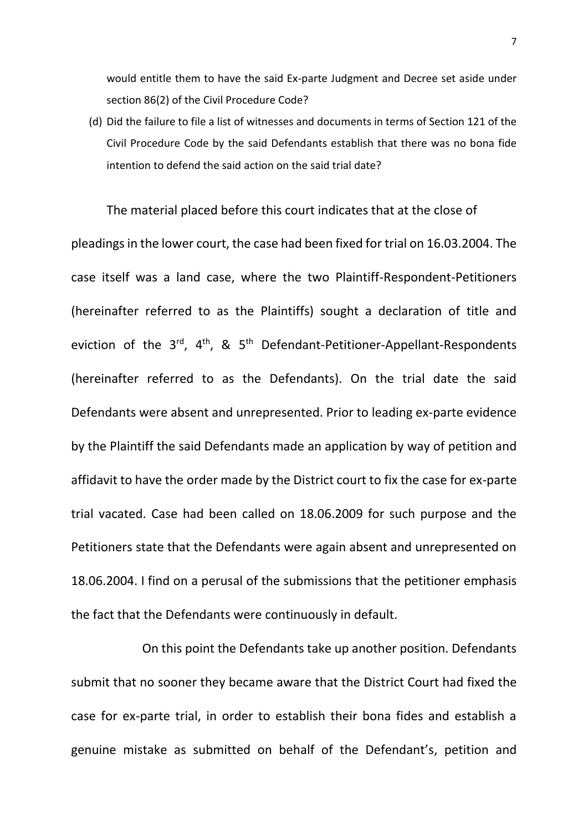would entitle them to have the said Ex-parte Judgment and Decree set aside under section 86(2) of the Civil Procedure Code?

(d) Did the failure to file a list of witnesses and documents in terms of Section 121 of the Civil Procedure Code by the said Defendants establish that there was no bona fide intention to defend the said action on the said trial date?

The material placed before this court indicates that at the close of pleadings in the lower court, the case had been fixed for trial on 16.03.2004. The case itself was a land case, where the two Plaintiff-Respondent-Petitioners (hereinafter referred to as the Plaintiffs) sought a declaration of title and eviction of the  $3^{rd}$ ,  $4^{th}$ , &  $5^{th}$  Defendant-Petitioner-Appellant-Respondents (hereinafter referred to as the Defendants). On the trial date the said Defendants were absent and unrepresented. Prior to leading ex-parte evidence by the Plaintiff the said Defendants made an application by way of petition and affidavit to have the order made by the District court to fix the case for ex-parte trial vacated. Case had been called on 18.06.2009 for such purpose and the Petitioners state that the Defendants were again absent and unrepresented on 18.06.2004. I find on a perusal of the submissions that the petitioner emphasis the fact that the Defendants were continuously in default.

On this point the Defendants take up another position. Defendants submit that no sooner they became aware that the District Court had fixed the case for ex-parte trial, in order to establish their bona fides and establish a genuine mistake as submitted on behalf of the Defendant's, petition and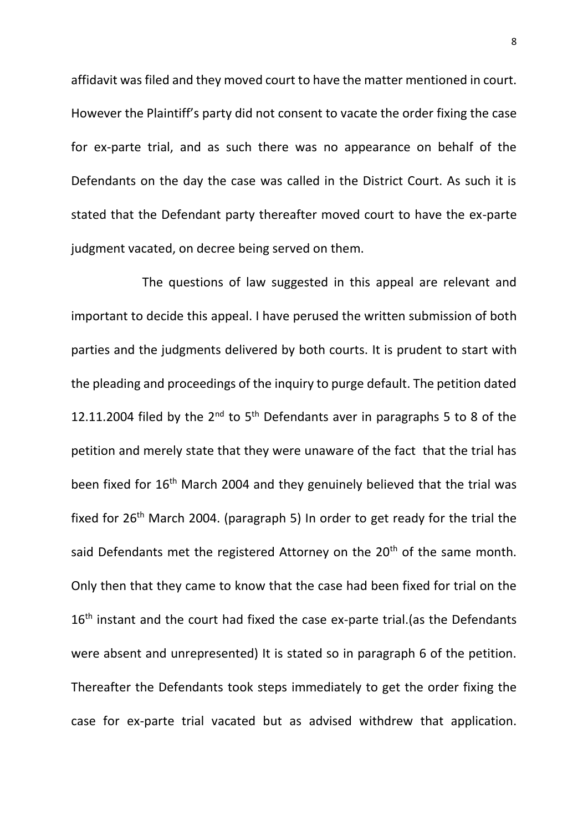affidavit was filed and they moved court to have the matter mentioned in court. However the Plaintiff's party did not consent to vacate the order fixing the case for ex-parte trial, and as such there was no appearance on behalf of the Defendants on the day the case was called in the District Court. As such it is stated that the Defendant party thereafter moved court to have the ex-parte judgment vacated, on decree being served on them.

The questions of law suggested in this appeal are relevant and important to decide this appeal. I have perused the written submission of both parties and the judgments delivered by both courts. It is prudent to start with the pleading and proceedings of the inquiry to purge default. The petition dated 12.11.2004 filed by the  $2^{nd}$  to  $5^{th}$  Defendants aver in paragraphs 5 to 8 of the petition and merely state that they were unaware of the fact that the trial has been fixed for 16<sup>th</sup> March 2004 and they genuinely believed that the trial was fixed for 26<sup>th</sup> March 2004. (paragraph 5) In order to get ready for the trial the said Defendants met the registered Attorney on the 20<sup>th</sup> of the same month. Only then that they came to know that the case had been fixed for trial on the  $16<sup>th</sup>$  instant and the court had fixed the case ex-parte trial.(as the Defendants were absent and unrepresented) It is stated so in paragraph 6 of the petition. Thereafter the Defendants took steps immediately to get the order fixing the case for ex-parte trial vacated but as advised withdrew that application.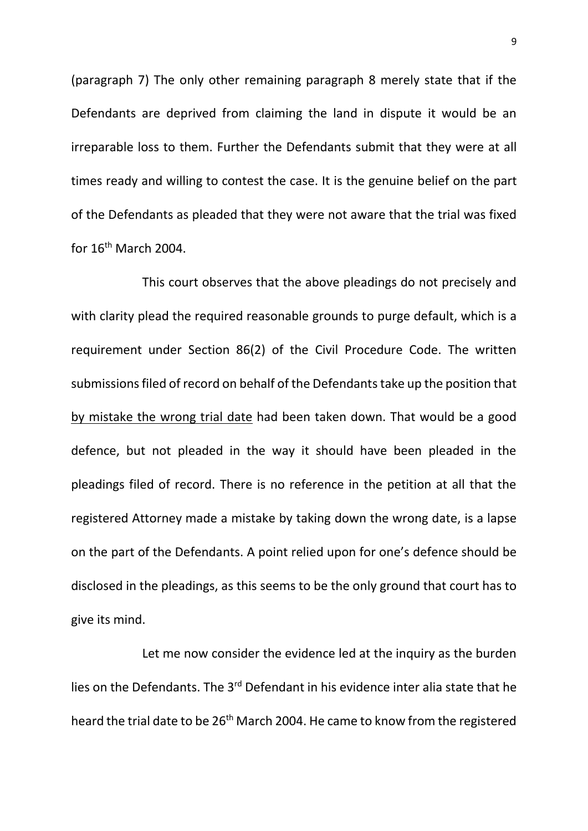(paragraph 7) The only other remaining paragraph 8 merely state that if the Defendants are deprived from claiming the land in dispute it would be an irreparable loss to them. Further the Defendants submit that they were at all times ready and willing to contest the case. It is the genuine belief on the part of the Defendants as pleaded that they were not aware that the trial was fixed for  $16^{\text{th}}$  March 2004.

This court observes that the above pleadings do not precisely and with clarity plead the required reasonable grounds to purge default, which is a requirement under Section 86(2) of the Civil Procedure Code. The written submissions filed of record on behalf of the Defendants take up the position that by mistake the wrong trial date had been taken down. That would be a good defence, but not pleaded in the way it should have been pleaded in the pleadings filed of record. There is no reference in the petition at all that the registered Attorney made a mistake by taking down the wrong date, is a lapse on the part of the Defendants. A point relied upon for one's defence should be disclosed in the pleadings, as this seems to be the only ground that court has to give its mind.

Let me now consider the evidence led at the inquiry as the burden lies on the Defendants. The 3rd Defendant in his evidence inter alia state that he heard the trial date to be 26<sup>th</sup> March 2004. He came to know from the registered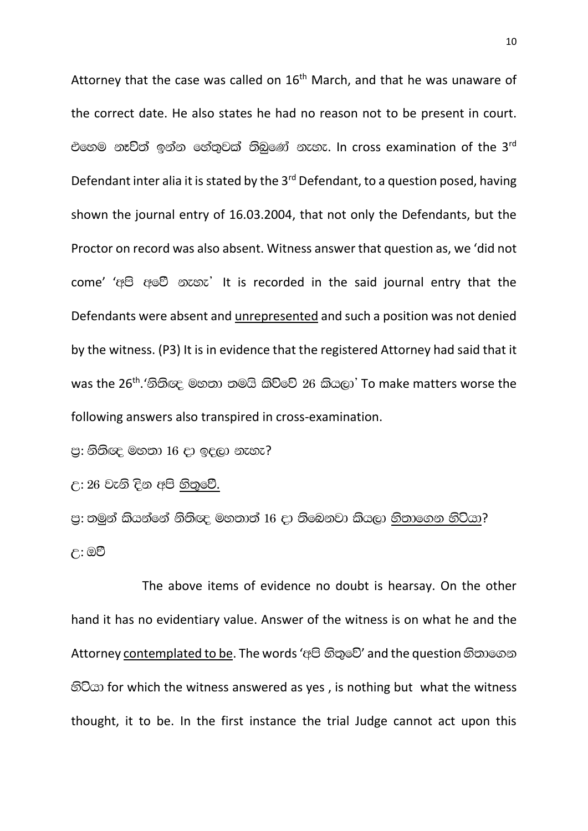Attorney that the case was called on  $16<sup>th</sup>$  March, and that he was unaware of the correct date. He also states he had no reason not to be present in court. එහෙම නෑවිත් ඉන්න හේතුවක් තිබුණේ නැහැ. In cross examination of the 3rd Defendant inter alia it is stated by the 3rd Defendant, to a question posed, having shown the journal entry of 16.03.2004, that not only the Defendants, but the Proctor on record was also absent. Witness answer that question as, we 'did not come' 'අපි අවේ නැහැ' It is recorded in the said journal entry that the Defendants were absent and unrepresented and such a position was not denied by the witness. (P3) It is in evidence that the registered Attorney had said that it was the 26<sup>th</sup>.'නිතිඥ මහතා තමයි කිව්වේ 26 කියලා' To make matters worse the following answers also transpired in cross-examination.

පු: නිතිඥ මහතා 16 දා ඉදලා නැහැ?

උ: 26 වැනි දින අපි හිතුවේ.

පු: තමුන් කියන්නේ නිතිඥ මහතාත් 16 දා තිබෙනවා කියලා <u>හිතාගෙන හිටියා</u>? උ: ඔව්

The above items of evidence no doubt is hearsay. On the other hand it has no evidentiary value. Answer of the witness is on what he and the Attorney contemplated to be. The words 'අපි හිතුවේ' and the question හිතාගෙන හිටියා for which the witness answered as yes, is nothing but what the witness thought, it to be. In the first instance the trial Judge cannot act upon this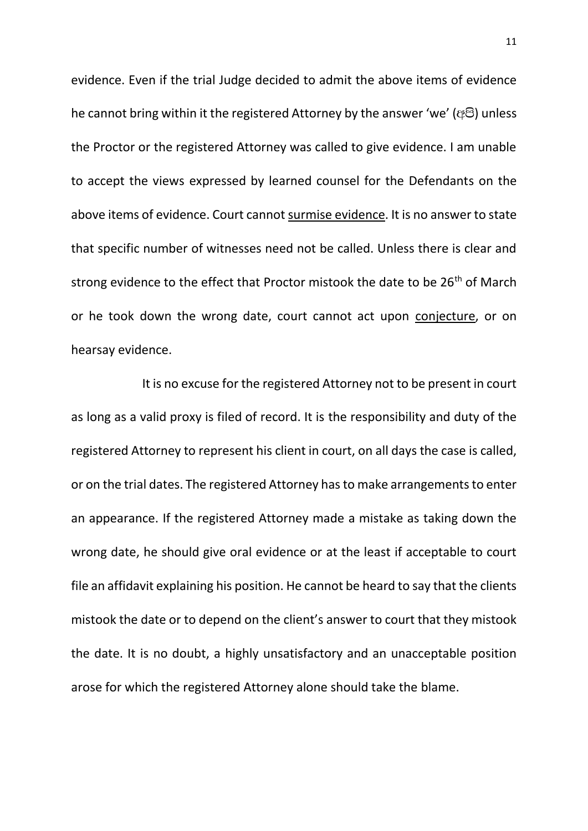evidence. Even if the trial Judge decided to admit the above items of evidence he cannot bring within it the registered Attorney by the answer 'we' (@8) unless the Proctor or the registered Attorney was called to give evidence. I am unable to accept the views expressed by learned counsel for the Defendants on the above items of evidence. Court cannot surmise evidence. It is no answer to state that specific number of witnesses need not be called. Unless there is clear and strong evidence to the effect that Proctor mistook the date to be  $26<sup>th</sup>$  of March or he took down the wrong date, court cannot act upon conjecture, or on hearsay evidence.

It is no excuse for the registered Attorney not to be present in court as long as a valid proxy is filed of record. It is the responsibility and duty of the registered Attorney to represent his client in court, on all days the case is called, or on the trial dates. The registered Attorney has to make arrangements to enter an appearance. If the registered Attorney made a mistake as taking down the wrong date, he should give oral evidence or at the least if acceptable to court file an affidavit explaining his position. He cannot be heard to say that the clients mistook the date or to depend on the client's answer to court that they mistook the date. It is no doubt, a highly unsatisfactory and an unacceptable position arose for which the registered Attorney alone should take the blame.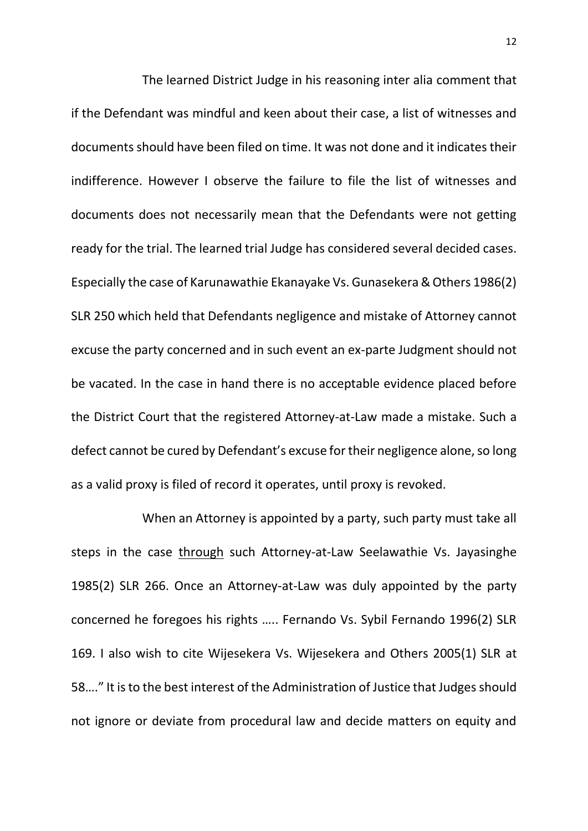The learned District Judge in his reasoning inter alia comment that if the Defendant was mindful and keen about their case, a list of witnesses and documents should have been filed on time. It was not done and it indicates their indifference. However I observe the failure to file the list of witnesses and documents does not necessarily mean that the Defendants were not getting ready for the trial. The learned trial Judge has considered several decided cases. Especially the case of Karunawathie Ekanayake Vs. Gunasekera & Others 1986(2) SLR 250 which held that Defendants negligence and mistake of Attorney cannot excuse the party concerned and in such event an ex-parte Judgment should not be vacated. In the case in hand there is no acceptable evidence placed before the District Court that the registered Attorney-at-Law made a mistake. Such a defect cannot be cured by Defendant's excuse for their negligence alone, so long as a valid proxy is filed of record it operates, until proxy is revoked.

When an Attorney is appointed by a party, such party must take all steps in the case through such Attorney-at-Law Seelawathie Vs. Jayasinghe 1985(2) SLR 266. Once an Attorney-at-Law was duly appointed by the party concerned he foregoes his rights ….. Fernando Vs. Sybil Fernando 1996(2) SLR 169. I also wish to cite Wijesekera Vs. Wijesekera and Others 2005(1) SLR at 58…." It is to the best interest of the Administration of Justice that Judges should not ignore or deviate from procedural law and decide matters on equity and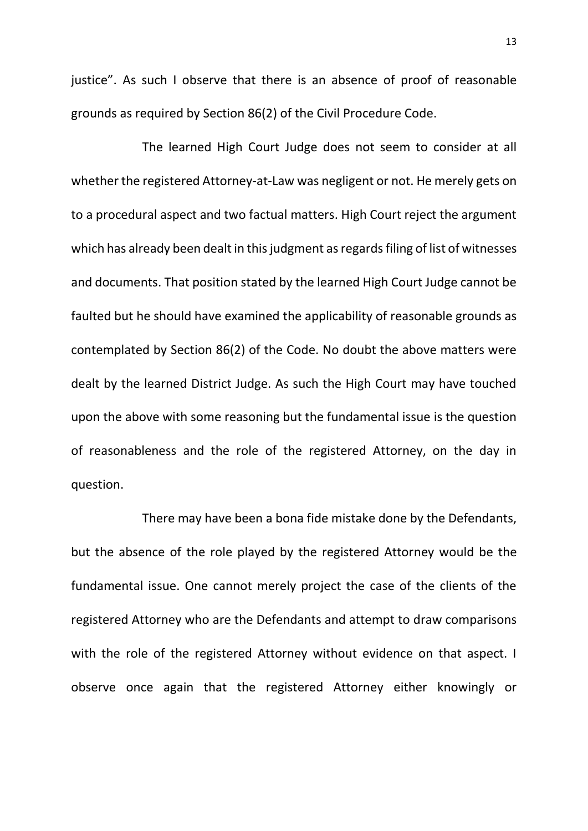justice". As such I observe that there is an absence of proof of reasonable grounds as required by Section 86(2) of the Civil Procedure Code.

The learned High Court Judge does not seem to consider at all whether the registered Attorney-at-Law was negligent or not. He merely gets on to a procedural aspect and two factual matters. High Court reject the argument which has already been dealt in this judgment as regards filing of list of witnesses and documents. That position stated by the learned High Court Judge cannot be faulted but he should have examined the applicability of reasonable grounds as contemplated by Section 86(2) of the Code. No doubt the above matters were dealt by the learned District Judge. As such the High Court may have touched upon the above with some reasoning but the fundamental issue is the question of reasonableness and the role of the registered Attorney, on the day in question.

There may have been a bona fide mistake done by the Defendants, but the absence of the role played by the registered Attorney would be the fundamental issue. One cannot merely project the case of the clients of the registered Attorney who are the Defendants and attempt to draw comparisons with the role of the registered Attorney without evidence on that aspect. I observe once again that the registered Attorney either knowingly or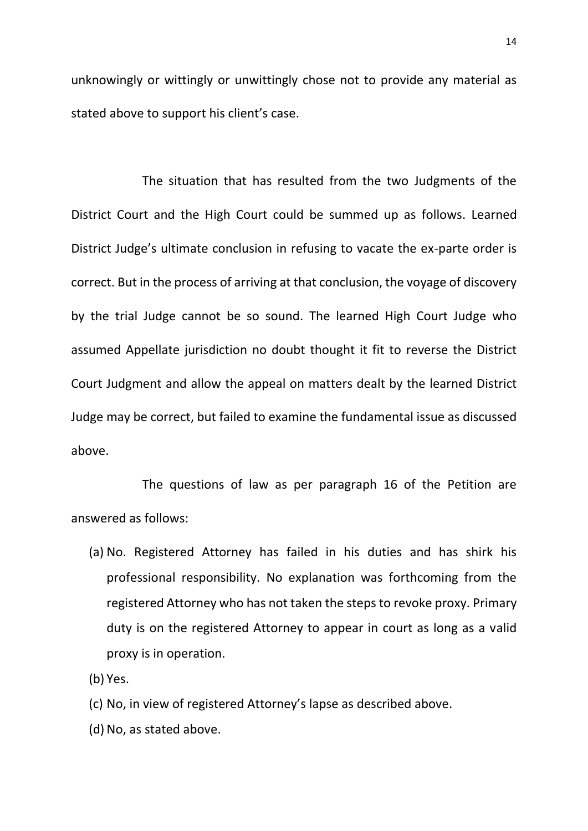unknowingly or wittingly or unwittingly chose not to provide any material as stated above to support his client's case.

The situation that has resulted from the two Judgments of the District Court and the High Court could be summed up as follows. Learned District Judge's ultimate conclusion in refusing to vacate the ex-parte order is correct. But in the process of arriving at that conclusion, the voyage of discovery by the trial Judge cannot be so sound. The learned High Court Judge who assumed Appellate jurisdiction no doubt thought it fit to reverse the District Court Judgment and allow the appeal on matters dealt by the learned District Judge may be correct, but failed to examine the fundamental issue as discussed above.

The questions of law as per paragraph 16 of the Petition are answered as follows:

(a) No. Registered Attorney has failed in his duties and has shirk his professional responsibility. No explanation was forthcoming from the registered Attorney who has not taken the steps to revoke proxy. Primary duty is on the registered Attorney to appear in court as long as a valid proxy is in operation.

(b) Yes.

- (c) No, in view of registered Attorney's lapse as described above.
- (d) No, as stated above.